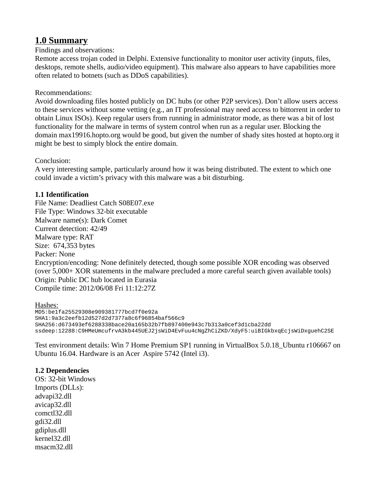# **1.0 Summary**

#### Findings and observations:

Remote access trojan coded in Delphi. Extensive functionality to monitor user activity (inputs, files, desktops, remote shells, audio/video equipment). This malware also appears to have capabilities more often related to botnets (such as DDoS capabilities).

#### Recommendations:

Avoid downloading files hosted publicly on DC hubs (or other P2P services). Don't allow users access to these services without some vetting (e.g., an IT professional may need access to bittorrent in order to obtain Linux ISOs). Keep regular users from running in administrator mode, as there was a bit of lost functionality for the malware in terms of system control when run as a regular user. Blocking the domain max19916.hopto.org would be good, but given the number of shady sites hosted at hopto.org it might be best to simply block the entire domain.

Conclusion:

A very interesting sample, particularly around how it was being distributed. The extent to which one could invade a victim's privacy with this malware was a bit disturbing.

## **1.1 Identification**

File Name: Deadliest Catch S08E07.exe File Type: Windows 32-bit executable Malware name(s): Dark Comet Current detection: 42/49 Malware type: RAT Size: 674,353 bytes Packer: None Encryption/encoding: None definitely detected, though some possible XOR encoding was observed (over 5,000+ XOR statements in the malware precluded a more careful search given available tools) Origin: Public DC hub located in Eurasia Compile time: 2012/06/08 Fri 11:12:27Z

Hashes: MD5:be1fa25529308e909381777bcd7f0e92a SHA1:9a3c2eefb12d527d2d7377a8c6f96854baf566c9 SHA256:d673493ef6288338bace20a165b32b7fb897400e943c7b313a0cef3d1cba22dd ssdeep:12288:C9HMeUmcufrvA3kb445UEJ2jsWiD4EvFuu4cNgZhCiZKD/XdyF5:uiBIGkbxqEcjsWiDxguehC2SE

Test environment details: Win 7 Home Premium SP1 running in VirtualBox 5.0.18\_Ubuntu r106667 on Ubuntu 16.04. Hardware is an Acer Aspire 5742 (Intel i3).

#### **1.2 Dependencies**

OS: 32-bit Windows Imports (DLLs): advapi32.dll avicap32.dll comctl32.dll gdi32.dll gdiplus.dll kernel32.dll msacm32.dll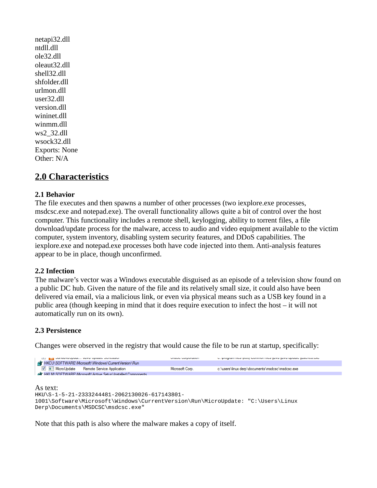netapi32.dll ntdll.dll ole32.dll oleaut32.dll shell32.dll shfolder.dll urlmon.dll user32.dll version.dll wininet.dll winmm.dll ws2\_32.dll wsock32.dll Exports: None Other: N/A

# **2.0 Characteristics**

#### **2.1 Behavior**

The file executes and then spawns a number of other processes (two iexplore.exe processes, msdcsc.exe and notepad.exe). The overall functionality allows quite a bit of control over the host computer. This functionality includes a remote shell, keylogging, ability to torrent files, a file download/update process for the malware, access to audio and video equipment available to the victim computer, system inventory, disabling system security features, and DDoS capabilities. The iexplore.exe and notepad.exe processes both have code injected into them. Anti-analysis features appear to be in place, though unconfirmed.

#### **2.2 Infection**

The malware's vector was a Windows executable disguised as an episode of a television show found on a public DC hub. Given the nature of the file and its relatively small size, it could also have been delivered via email, via a malicious link, or even via physical means such as a USB key found in a public area (though keeping in mind that it does require execution to infect the host – it will not automatically run on its own).

# **2.3 Persistence**

Changes were observed in the registry that would cause the file to be run at startup, specifically:



As text: HKU\S-1-5-21-2333244481-2062130026-617143801- 1001\Software\Microsoft\Windows\CurrentVersion\Run\MicroUpdate: "C:\Users\Linux Derp\Documents\MSDCSC\msdcsc.exe"

Note that this path is also where the malware makes a copy of itself.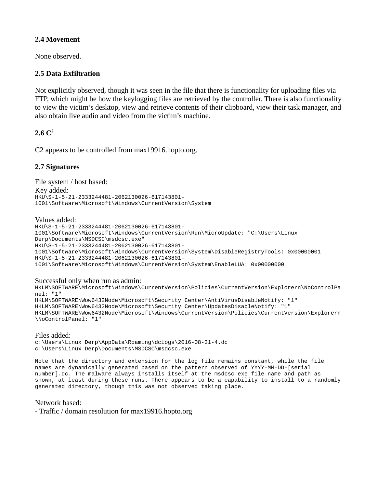#### **2.4 Movement**

None observed.

#### **2.5 Data Exfiltration**

Not explicitly observed, though it was seen in the file that there is functionality for uploading files via FTP, which might be how the keylogging files are retrieved by the controller. There is also functionality to view the victim's desktop, view and retrieve contents of their clipboard, view their task manager, and also obtain live audio and video from the victim's machine.

## $2.6 C<sup>2</sup>$

C2 appears to be controlled from max19916.hopto.org.

#### **2.7 Signatures**

File system / host based: Key added: HKU\S-1-5-21-2333244481-2062130026-617143801- 1001\Software\Microsoft\Windows\CurrentVersion\System

Values added:

HKU\S-1-5-21-2333244481-2062130026-617143801- 1001\Software\Microsoft\Windows\CurrentVersion\Run\MicroUpdate: "C:\Users\Linux Derp\Documents\MSDCSC\msdcsc.exe" HKU\S-1-5-21-2333244481-2062130026-617143801- 1001\Software\Microsoft\Windows\CurrentVersion\System\DisableRegistryTools: 0x00000001 HKU\S-1-5-21-2333244481-2062130026-617143801- 1001\Software\Microsoft\Windows\CurrentVersion\System\EnableLUA: 0x00000000

Successful only when run as admin:

HKLM\SOFTWARE\Microsoft\Windows\CurrentVersion\Policies\CurrentVersion\Explorern\NoControlPa nel: "1" HKLM\SOFTWARE\Wow6432Node\Microsoft\Security Center\AntiVirusDisableNotify: "1" HKLM\SOFTWARE\Wow6432Node\Microsoft\Security Center\UpdatesDisableNotify: "1"

HKLM\SOFTWARE\Wow6432Node\Microsoft\Windows\CurrentVersion\Policies\CurrentVersion\Explorern \NoControlPanel: "1"

Files added: c:\Users\Linux Derp\AppData\Roaming\dclogs\2016-08-31-4.dc c:\Users\Linux Derp\Documents\MSDCSC\msdcsc.exe

Note that the directory and extension for the log file remains constant, while the file names are dynamically generated based on the pattern observed of YYYY-MM-DD-[serial number].dc. The malware always installs itself at the msdcsc.exe file name and path as shown, at least during these runs. There appears to be a capability to install to a randomly generated directory, though this was not observed taking place.

Network based:

- Traffic / domain resolution for max19916.hopto.org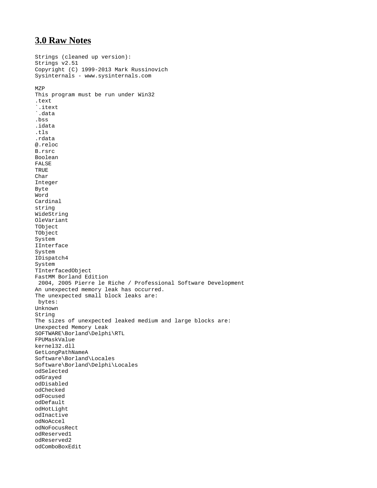# **3.0 Raw Notes**

```
Strings (cleaned up version):
Strings v2.51
Copyright (C) 1999-2013 Mark Russinovich
Sysinternals - www.sysinternals.com
MZP
This program must be run under Win32
.text
`.itext
`.data
.bss
.idata
.tls
.rdata
@.reloc
B.rsrc
Boolean
FALSE
TRUE
Char
Integer
Byte
Word
Cardinal
string
WideString
OleVariant
TObject
TObject
System
IInterface
System
IDispatch4
System
TInterfacedObject
FastMM Borland Edition 
  2004, 2005 Pierre le Riche / Professional Software Development
An unexpected memory leak has occurred. 
The unexpected small block leaks are:
  bytes: 
Unknown
String
The sizes of unexpected leaked medium and large blocks are: 
Unexpected Memory Leak
SOFTWARE\Borland\Delphi\RTL
FPUMaskValue
kernel32.dll
GetLongPathNameA
Software\Borland\Locales
Software\Borland\Delphi\Locales
odSelected
odGrayed
odDisabled
odChecked
odFocused
odDefault
odHotLight
odInactive
odNoAccel
odNoFocusRect
odReserved1
odReserved2
odComboBoxEdit
```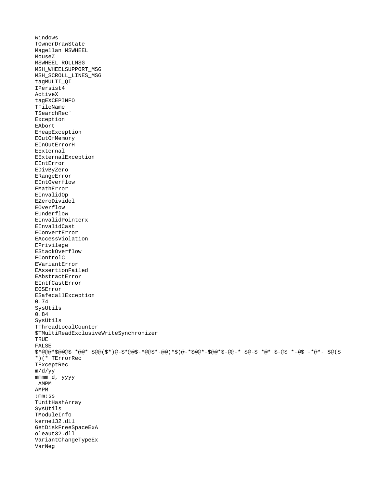```
Windows
TOwnerDrawState
Magellan MSWHEEL
MouseZ
MSWHEEL_ROLLMSG
MSH_WHEELSUPPORT_MSG
MSH_SCROLL_LINES_MSG
tagMULTI_QI
IPersist4
ActiveX
tagEXCEPINFO 
TFileName
TSearchRec`
Exception
EAbort
EHeapException
EOutOfMemory
EInOutErrorH
EExternal
EExternalException
EIntError
EDivByZero
ERangeError
EIntOverflow
EMathError
EInvalidOp
EZeroDividel
EOverflow
EUnderflow
EInvalidPointerx
EInvalidCast
EConvertError
EAccessViolation
EPrivilege
EStackOverflow
EControlC
EVariantError
EAssertionFailed
EAbstractError
EIntfCastError
EOSError
ESafecallException
0.74
SysUtils
0.84
SysUtils
TThreadLocalCounter
$TMultiReadExclusiveWriteSynchronizer
TRUE
FALSE
$*@@@*$@@@$ *@@* $@@($*)@-$*@@$-*@@$*-@@(*$)@-*$@@*-$@@*$-@@-* $@-$ *@* $-@$ *-@$ -*@*- $@($
*)(* TErrorRec
TExceptRec
m/d/yy
mmmm d, yyyy
 AMPM
AMPM 
:mm:ss
TUnitHashArray
SysUtils
TModuleInfo
kernel32.dll
GetDiskFreeSpaceExA
oleaut32.dll
VariantChangeTypeEx
VarNeg
```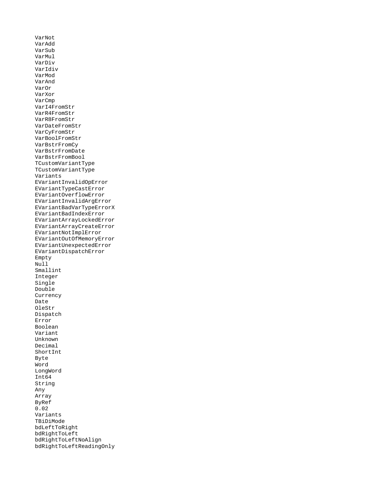VarNot VarAdd VarSub VarMul VarDiv VarIdiv VarMod VarAnd VarOr VarXor VarCmp VarI4FromStr VarR4FromStr VarR8FromStr VarDateFromStr VarCyFromStr VarBoolFromStr VarBstrFromCy VarBstrFromDate VarBstrFromBool TCustomVariantType TCustomVariantType Variants EVariantInvalidOpError EVariantTypeCastError EVariantOverflowError EVariantInvalidArgError EVariantBadVarTypeErrorX EVariantBadIndexError EVariantArrayLockedError EVariantArrayCreateError EVariantNotImplError EVariantOutOfMemoryError EVariantUnexpectedError EVariantDispatchError Empty Null<sup>1</sup> Smallint Integer Single Double Currency Date OleStr Dispatch Error Boolean Variant Unknown Decimal ShortInt Byte Word LongWord Int64 String Any Array ByRef 0.02 Variants TBiDiMode bdLeftToRight bdRightToLeft bdRightToLeftNoAlign bdRightToLeftReadingOnly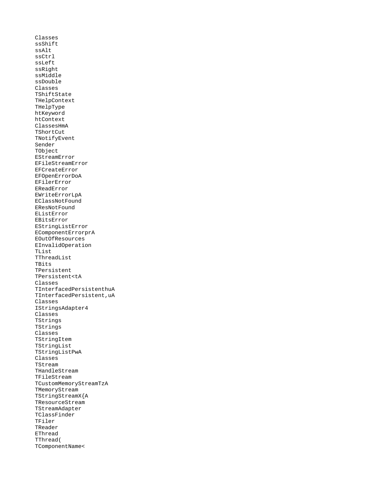Classes ssShift ssAlt ssCtrl ssLeft ssRight ssMiddle ssDouble Classes TShiftState THelpContext THelpType htKeyword htContext ClassesHmA **TShortCut** TNotifyEvent Sender TObject EStreamError EFileStreamError EFCreateError EFOpenErrorDoA EFilerError EReadError EWriteErrorLpA EClassNotFound EResNotFound EListError EBitsError EStringListError EComponentErrorprA EOutOfResources EInvalidOperation TList TThreadList TBits TPersistent TPersistent<tA Classes TInterfacedPersistenthuA TInterfacedPersistent,uA Classes IStringsAdapter4 Classes TStrings TStrings Classes TStringItem TStringList TStringListPwA Classes TStream THandleStream TFileStream TCustomMemoryStreamTzA TMemoryStream TStringStreamX{A TResourceStream TStreamAdapter TClassFinder TFiler TReader EThread TThread( TComponentName<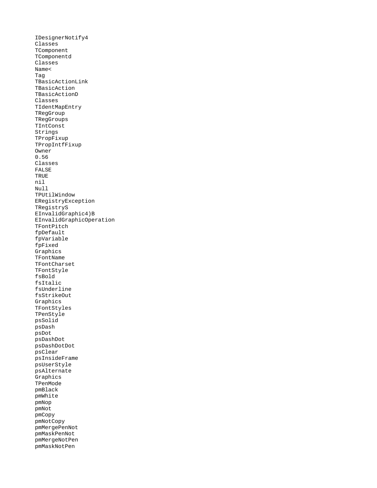IDesignerNotify4 Classes TComponent TComponentd Classes Name< Tag TBasicActionLink TBasicAction TBasicActionD Classes TIdentMapEntry TRegGroup TRegGroups TIntConst Strings TPropFixup TPropIntfFixup Owner 0.56 Classes FALSE TRUE nil Null TPUtilWindow ERegistryException TRegistryS EInvalidGraphic4)B EInvalidGraphicOperation TFontPitch fpDefault fpVariable fpFixed Graphics TFontName TFontCharset TFontStyle fsBold fsItalic fsUnderline fsStrikeOut Graphics TFontStyles TPenStyle psSolid psDash psDot psDashDot psDashDotDot psClear psInsideFrame psUserStyle psAlternate Graphics TPenMode pmBlack pmWhite pmNop pmNot pmCopy pmNotCopy pmMergePenNot pmMaskPenNot pmMergeNotPen pmMaskNotPen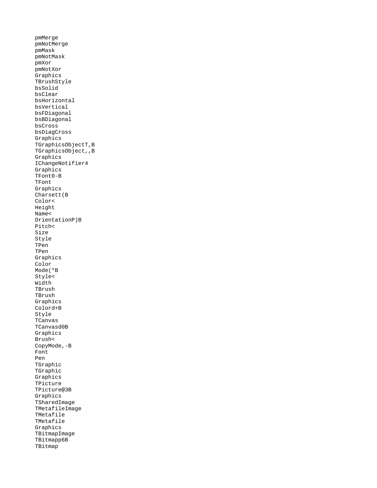pmMerge pmNotMerge pmMask pmNotMask pmXor pmNotXor Graphics TBrushStyle bsSolid bsClear bsHorizontal bsVertical bsFDiagonal bsBDiagonal bsCross bsDiagCross Graphics TGraphicsObjectT,B TGraphicsObject,,B Graphics IChangeNotifier4 Graphics TFont0-B TFont Graphics Charsett(B Color< Height Name< OrientationP)B Pitch< Size Style TPen TPen Graphics Color Mode(\*B Style< Width TBrush TBrush Graphics Colord+B Style TCanvas TCanvasd0B Graphics Brush< CopyMode,-B Font Pen TGraphic TGraphic Graphics TPicture TPicture@3B Graphics TSharedImage TMetafileImage TMetafile TMetafile Graphics TBitmapImage TBitmapp6B TBitmap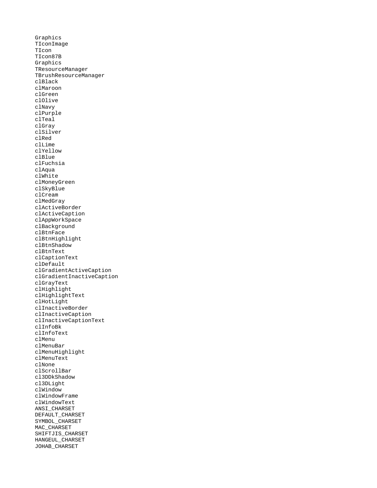Graphics TIconImage TIcon TIcon87B Graphics TResourceManager TBrushResourceManager clBlack clMaroon clGreen clOlive clNavy clPurple clTeal clGray clSilver clRed clLime clYellow clBlue clFuchsia clAqua clWhite clMoneyGreen clSkyBlue clCream clMedGray clActiveBorder clActiveCaption clAppWorkSpace clBackground clBtnFace clBtnHighlight clBtnShadow clBtnText clCaptionText clDefault clGradientActiveCaption clGradientInactiveCaption clGrayText clHighlight clHighlightText clHotLight clInactiveBorder clInactiveCaption clInactiveCaptionText clInfoBk clInfoText clMenu clMenuBar clMenuHighlight clMenuText clNone clScrollBar cl3DDkShadow cl3DLight clWindow clWindowFrame clWindowText ANSI\_CHARSET DEFAULT\_CHARSET SYMBOL\_CHARSET MAC\_CHARSET SHIFTJIS\_CHARSET HANGEUL\_CHARSET JOHAB\_CHARSET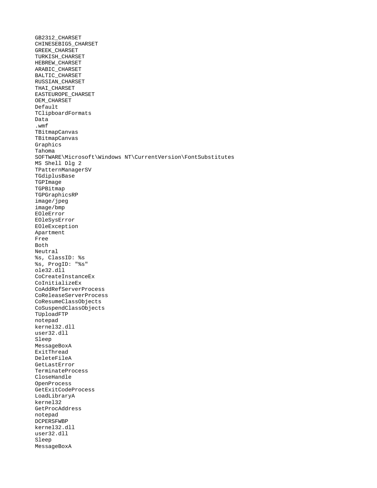GB2312\_CHARSET CHINESEBIG5\_CHARSET GREEK\_CHARSET TURKISH\_CHARSET HEBREW\_CHARSET ARABIC\_CHARSET BALTIC\_CHARSET RUSSIAN\_CHARSET THAI\_CHARSET EASTEUROPE\_CHARSET OEM\_CHARSET Default TClipboardFormats Data<sup>1</sup> .wmf TBitmapCanvas TBitmapCanvas Graphics Tahoma SOFTWARE\Microsoft\Windows NT\CurrentVersion\FontSubstitutes MS Shell Dlg 2 TPatternManagerSV TGdiplusBase **TGPImage** TGPBitmap TGPGraphicsRP image/jpeg image/bmp EOleError EOleSysError EOleException Apartment Free Both Neutral %s, ClassID: %s %s, ProgID: "%s" ole32.dll CoCreateInstanceEx CoInitializeEx CoAddRefServerProcess CoReleaseServerProcess CoResumeClassObjects CoSuspendClassObjects TUploadFTP notepad kernel32.dll user32.dll Sleep MessageBoxA ExitThread DeleteFileA GetLastError TerminateProcess CloseHandle OpenProcess GetExitCodeProcess LoadLibraryA kernel32 GetProcAddress notepad DCPERSFWBP kernel32.dll user32.dll Sleep MessageBoxA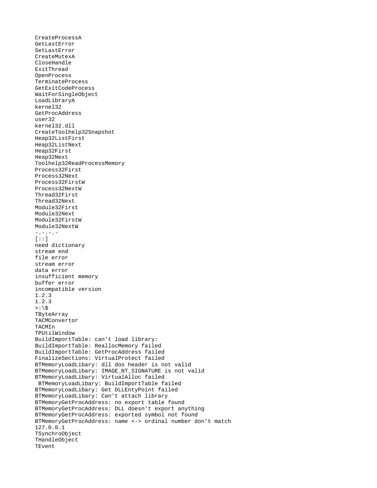CreateProcessA GetLastError SetLastError CreateMutexA CloseHandle ExitThread OpenProcess TerminateProcess GetExitCodeProcess WaitForSingleObject LoadLibraryA kernel32 GetProcAddress user32 kernel32.dll CreateToolhelp32Snapshot Heap32ListFirst Heap32ListNext Heap32First Heap32Next Toolhelp32ReadProcessMemory Process32First Process32Next Process32FirstW Process32NextW Thread32First Thread32Next Module32First Module32Next Module32FirstW Module32NextW -.-.-.-  $[::]$ need dictionary stream end file error stream error data error insufficient memory buffer error incompatible version 1.2.3 1.2.3  $>:\S$ **TByteArray** TACMConvertor TACMIn TPUtilWindow BuildImportTable: can't load library: BuildImportTable: ReallocMemory failed BuildImportTable: GetProcAddress failed FinalizeSections: VirtualProtect failed BTMemoryLoadLibary: dll dos header is not valid BTMemoryLoadLibary: IMAGE\_NT\_SIGNATURE is not valid BTMemoryLoadLibary: VirtualAlloc failed BTMemoryLoadLibary: BuildImportTable failed BTMemoryLoadLibary: Get DLLEntyPoint failed BTMemoryLoadLibary: Can't attach library BTMemoryGetProcAddress: no export table found BTMemoryGetProcAddress: DLL doesn't export anything BTMemoryGetProcAddress: exported symbol not found BTMemoryGetProcAddress: name <-> ordinal number don't match 127.0.0.1 TSynchroObject THandleObject TEvent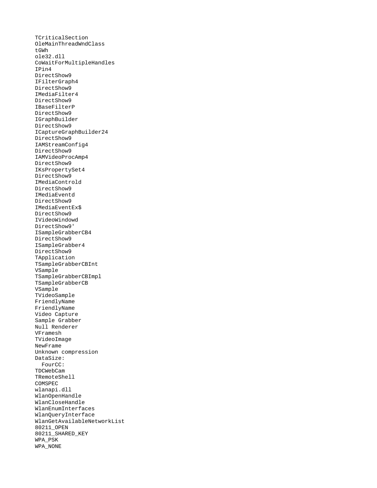TCriticalSection OleMainThreadWndClass tGWh ole32.dll CoWaitForMultipleHandles IPin4 DirectShow9 IFilterGraph4 DirectShow9 IMediaFilter4 DirectShow9 IBaseFilterP DirectShow9 IGraphBuilder DirectShow9 ICaptureGraphBuilder24 DirectShow9 IAMStreamConfig4 DirectShow9 IAMVideoProcAmp4 DirectShow9 IKsPropertySet4 DirectShow9 IMediaControld DirectShow9 IMediaEventd DirectShow9 IMediaEventEx\$ DirectShow9 IVideoWindowd DirectShow9' ISampleGrabberCB4 DirectShow9 ISampleGrabber4 DirectShow9 TApplication TSampleGrabberCBInt VSample TSampleGrabberCBImpl TSampleGrabberCB VSample TVideoSample FriendlyName FriendlyName Video Capture Sample Grabber Null Renderer VFramesh TVideoImage NewFrame Unknown compression DataSize: FourCC: TDCWebCam TRemoteShell COMSPEC wlanapi.dll WlanOpenHandle WlanCloseHandle WlanEnumInterfaces WlanQueryInterface WlanGetAvailableNetworkList 80211\_OPEN 80211\_SHARED\_KEY WPA\_PSK WPA\_NONE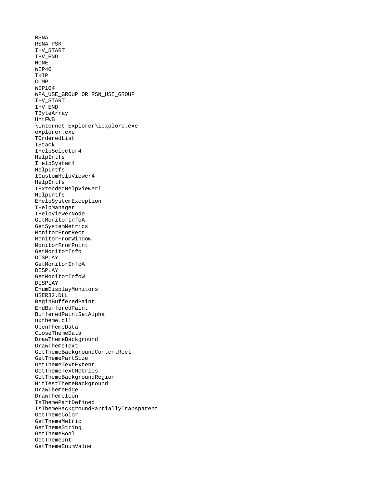RSNA RSNA\_PSK IHV\_START IHV\_END NONE WEP40 TKIP **CCMP** WEP104 WPA\_USE\_GROUP OR RSN\_USE\_GROUP IHV\_START IHV\_END TByteArray UntFWB \Internet Explorer\iexplore.exe explorer.exe TOrderedList TStack IHelpSelector4 HelpIntfs IHelpSystem4 HelpIntfs ICustomHelpViewer4 HelpIntfs IExtendedHelpViewerl HelpIntfs EHelpSystemException THelpManager THelpViewerNode GetMonitorInfoA GetSystemMetrics MonitorFromRect MonitorFromWindow MonitorFromPoint GetMonitorInfo DISPLAY GetMonitorInfoA DISPLAY GetMonitorInfoW DISPLAY EnumDisplayMonitors USER32.DLL BeginBufferedPaint EndBufferedPaint BufferedPaintSetAlpha uxtheme.dll OpenThemeData CloseThemeData DrawThemeBackground DrawThemeText GetThemeBackgroundContentRect GetThemePartSize GetThemeTextExtent GetThemeTextMetrics GetThemeBackgroundRegion HitTestThemeBackground DrawThemeEdge DrawThemeIcon IsThemePartDefined IsThemeBackgroundPartiallyTransparent GetThemeColor GetThemeMetric GetThemeString GetThemeBool GetThemeInt GetThemeEnumValue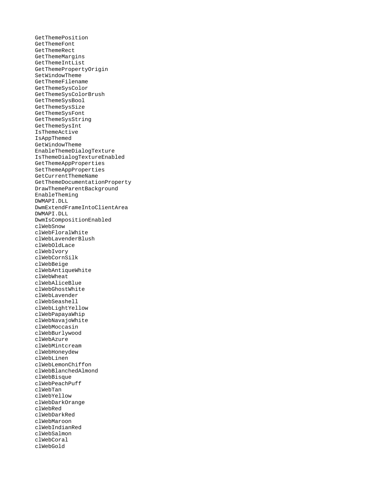GetThemePosition GetThemeFont GetThemeRect GetThemeMargins GetThemeIntList GetThemePropertyOrigin SetWindowTheme GetThemeFilename GetThemeSysColor GetThemeSysColorBrush GetThemeSysBool GetThemeSysSize GetThemeSysFont GetThemeSysString GetThemeSysInt IsThemeActive IsAppThemed GetWindowTheme EnableThemeDialogTexture IsThemeDialogTextureEnabled GetThemeAppProperties SetThemeAppProperties GetCurrentThemeName GetThemeDocumentationProperty DrawThemeParentBackground EnableTheming DWMAPI.DLL DwmExtendFrameIntoClientArea DWMAPI.DLL DwmIsCompositionEnabled clWebSnow clWebFloralWhite clWebLavenderBlush clWebOldLace clWebIvory clWebCornSilk clWebBeige clWebAntiqueWhite clWebWheat clWebAliceBlue clWebGhostWhite clWebLavender clWebSeashell clWebLightYellow clWebPapayaWhip clWebNavajoWhite clWebMoccasin clWebBurlywood clWebAzure clWebMintcream clWebHoneydew clWebLinen clWebLemonChiffon clWebBlanchedAlmond clWebBisque clWebPeachPuff clWebTan clWebYellow clWebDarkOrange clWebRed clWebDarkRed clWebMaroon clWebIndianRed clWebSalmon clWebCoral clWebGold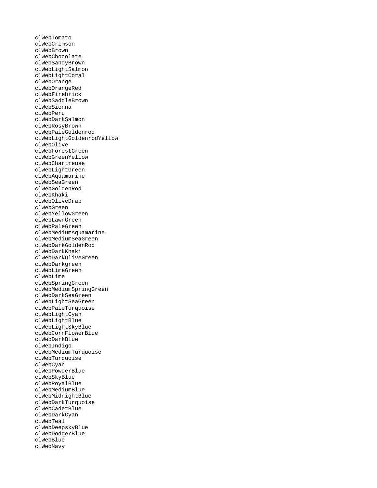clWebTomato clWebCrimson clWebBrown clWebChocolate clWebSandyBrown clWebLightSalmon clWebLightCoral clWebOrange clWebOrangeRed clWebFirebrick clWebSaddleBrown clWebSienna clWebPeru clWebDarkSalmon clWebRosyBrown clWebPaleGoldenrod clWebLightGoldenrodYellow clWebOlive clWebForestGreen clWebGreenYellow clWebChartreuse clWebLightGreen clWebAquamarine clWebSeaGreen clWebGoldenRod clWebKhaki clWebOliveDrab clWebGreen clWebYellowGreen clWebLawnGreen clWebPaleGreen clWebMediumAquamarine clWebMediumSeaGreen clWebDarkGoldenRod clWebDarkKhaki clWebDarkOliveGreen clWebDarkgreen clWebLimeGreen clWebLime clWebSpringGreen clWebMediumSpringGreen clWebDarkSeaGreen clWebLightSeaGreen clWebPaleTurquoise clWebLightCyan clWebLightBlue clWebLightSkyBlue clWebCornFlowerBlue clWebDarkBlue clWebIndigo clWebMediumTurquoise clWebTurquoise clWebCyan clWebPowderBlue clWebSkyBlue clWebRoyalBlue clWebMediumBlue clWebMidnightBlue clWebDarkTurquoise clWebCadetBlue clWebDarkCyan clWebTeal clWebDeepskyBlue clWebDodgerBlue clWebBlue clWebNavy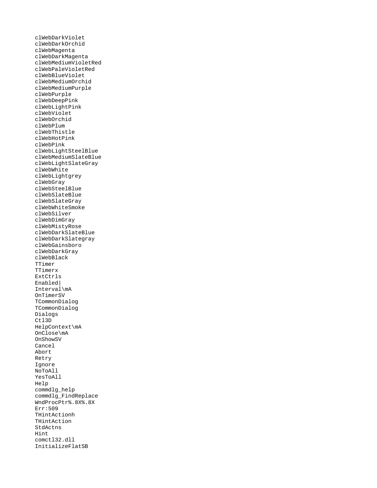clWebDarkViolet clWebDarkOrchid clWebMagenta clWebDarkMagenta clWebMediumVioletRed clWebPaleVioletRed clWebBlueViolet clWebMediumOrchid clWebMediumPurple clWebPurple clWebDeepPink clWebLightPink clWebViolet clWebOrchid clWebPlum clWebThistle clWebHotPink clWebPink clWebLightSteelBlue clWebMediumSlateBlue clWebLightSlateGray clWebWhite clWebLightgrey clWebGray clWebSteelBlue clWebSlateBlue clWebSlateGray clWebWhiteSmoke clWebSilver clWebDimGray clWebMistyRose clWebDarkSlateBlue clWebDarkSlategray clWebGainsboro clWebDarkGray clWebBlack TTimer TTimerx ExtCtrls Enabled| Interval\mA OnTimerSV TCommonDialog TCommonDialog Dialogs Ctl3D HelpContext\mA OnClose\mA OnShowSV Cancel Abort Retry **I**gnore NoToAll YesToAll Help commdlg\_help commdlg\_FindReplace WndProcPtr%.8X%.8X Err:509 THintActionh THintAction StdActns Hint comctl32.dll InitializeFlatSB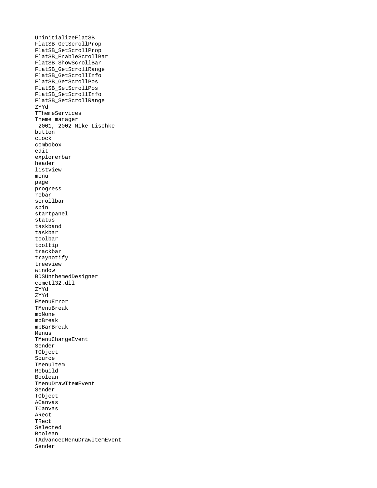UninitializeFlatSB FlatSB\_GetScrollProp FlatSB\_SetScrollProp FlatSB\_EnableScrollBar FlatSB\_ShowScrollBar FlatSB\_GetScrollRange FlatSB\_GetScrollInfo FlatSB\_GetScrollPos FlatSB\_SetScrollPos FlatSB\_SetScrollInfo FlatSB\_SetScrollRange ZYYd TThemeServices Theme manager 2001, 2002 Mike Lischke button clock combobox edit explorerbar header listview menu page progress rebar scrollbar spin startpanel status taskband taskbar toolbar tooltip trackbar traynotify treeview window BDSUnthemedDesigner comctl32.dll ZYYd ZYYd EMenuError TMenuBreak mbNone mbBreak mbBarBreak Menus TMenuChangeEvent Sender TObject Source TMenuItem Rebuild Boolean TMenuDrawItemEvent Sender TObject ACanvas TCanvas ARect TRect Selected Boolean TAdvancedMenuDrawItemEvent Sender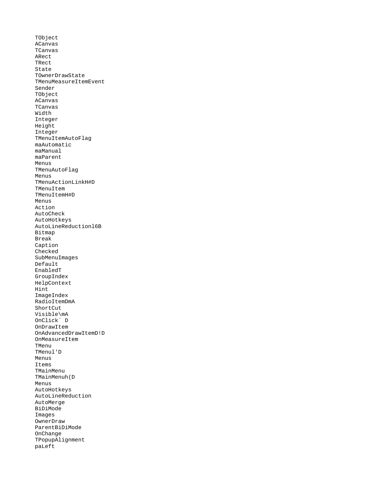TObject ACanvas TCanvas ARect TRect State TOwnerDrawState TMenuMeasureItemEvent Sender TObject ACanvas TCanvas Width Integer Height Integer TMenuItemAutoFlag maAutomatic maManual maParent Menus TMenuAutoFlag Menus TMenuActionLinkH#D TMenuItem TMenuItemH#D Menus Action AutoCheck AutoHotkeys AutoLineReductionl6B Bitmap Break Caption Checked SubMenuImages Default EnabledT GroupIndex HelpContext Hint ImageIndex RadioItemDmA ShortCut Visible\mA OnClick` D OnDrawItem OnAdvancedDrawItemD!D **OnMeasureItem** TMenu TMenul'D Menus Items TMainMenu TMainMenuh(D Menus AutoHotkeys AutoLineReduction AutoMerge BiDiMode Images OwnerDraw ParentBiDiMode OnChange TPopupAlignment paLeft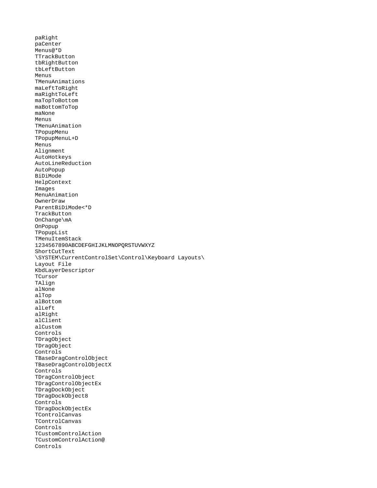paRight paCenter Menus@\*D **TTrackButton** tbRightButton tbLeftButton Menus TMenuAnimations maLeftToRight maRightToLeft maTopToBottom maBottomToTop maNone Menus TMenuAnimation TPopupMenu TPopupMenuL+D Menus Alignment AutoHotkeys AutoLineReduction AutoPopup BiDiMode HelpContext Images MenuAnimation OwnerDraw ParentBiDiMode<\*D **TrackButton** OnChange\mA OnPopup TPopupList TMenuItemStack 1234567890ABCDEFGHIJKLMNOPQRSTUVWXYZ ShortCutText \SYSTEM\CurrentControlSet\Control\Keyboard Layouts\ Layout File KbdLayerDescriptor **TCursor** TAlign alNone alTop alBottom alLeft alRight alClient alCustom Controls TDragObject TDragObject Controls TBaseDragControlObject TBaseDragControlObjectX Controls TDragControlObject TDragControlObjectEx TDragDockObject TDragDockObject8 Controls TDragDockObjectEx TControlCanvas TControlCanvas Controls TCustomControlAction TCustomControlAction@ Controls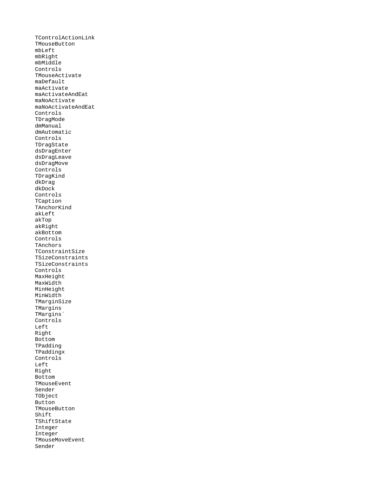TControlActionLink TMouseButton mbLeft mbRight mbMiddle Controls TMouseActivate maDefault maActivate maActivateAndEat maNoActivate maNoActivateAndEat Controls TDragMode dmManual dmAutomatic Controls TDragState dsDragEnter dsDragLeave dsDragMove Controls TDragKind dkDrag dkDock Controls TCaption TAnchorKind akLeft akTop akRight akBottom Controls **TAnchors** TConstraintSize TSizeConstraints TSizeConstraints Controls MaxHeight MaxWidth MinHeight MinWidth TMarginSize TMargins TMargins` Controls Left Right Bottom TPadding TPaddingx Controls Left Right Bottom TMouseEvent Sender TObject **Button** TMouseButton Shift TShiftState Integer Integer TMouseMoveEvent Sender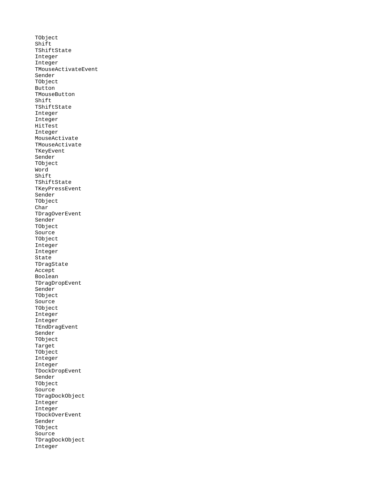TObject Shift TShiftState Integer Integer TMouseActivateEvent Sender TObject Button TMouseButton Shift TShiftState Integer Integer HitTest Integer MouseActivate TMouseActivate TKeyEvent Sender TObject Word Shift TShiftState TKeyPressEvent Sender TObject Char TDragOverEvent Sender TObject Source TObject Integer Integer State TDragState Accept Boolean TDragDropEvent Sender TObject Source TObject Integer Integer TEndDragEvent Sender TObject Target TObject Integer Integer TDockDropEvent Sender TObject Source TDragDockObject Integer Integer TDockOverEvent Sender TObject Source TDragDockObject Integer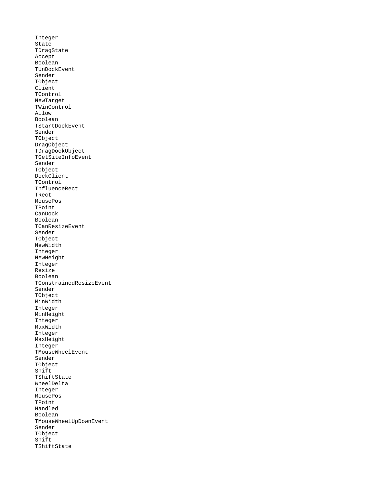Integer State TDragState Accept Boolean TUnDockEvent Sender TObject Client TControl NewTarget TWinControl Allow Boolean TStartDockEvent Sender TObject DragObject TDragDockObject TGetSiteInfoEvent Sender TObject DockClient TControl InfluenceRect TRect MousePos TPoint CanDock Boolean TCanResizeEvent Sender TObject NewWidth Integer NewHeight Integer Resize Boolean TConstrainedResizeEvent Sender TObject MinWidth Integer MinHeight Integer MaxWidth Integer MaxHeight Integer TMouseWheelEvent Sender TObject Shift TShiftState WheelDelta Integer MousePos TPoint Handled Boolean TMouseWheelUpDownEvent Sender TObject Shift TShiftState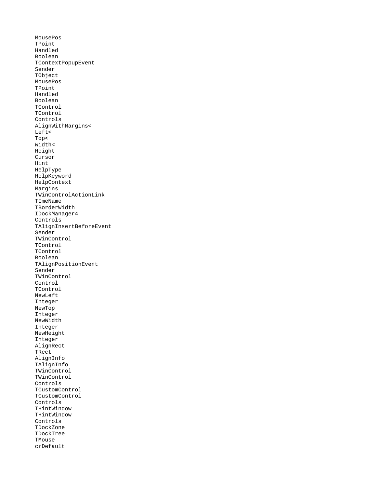MousePos TPoint Handled Boolean TContextPopupEvent Sender TObject MousePos TPoint Handled Boolean TControl TControl Controls AlignWithMargins< Left< Top< Width< Height Cursor Hint HelpType HelpKeyword HelpContext Margins TWinControlActionLink TImeName **TBorderWidth** IDockManager4 Controls TAlignInsertBeforeEvent Sender TWinControl TControl TControl Boolean TAlignPositionEvent Sender TWinControl Control TControl NewLeft Integer NewTop Integer NewWidth Integer NewHeight Integer AlignRect TRect AlignInfo TAlignInfo TWinControl TWinControl Controls TCustomControl TCustomControl Controls THintWindow THintWindow Controls TDockZone TDockTree **TMouse** crDefault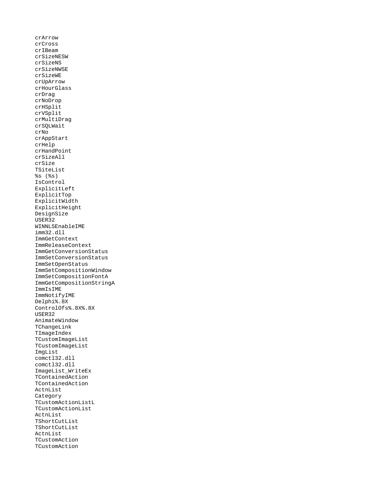crArrow crCross crIBeam crSizeNESW crSizeNS crSizeNWSE crSizeWE crUpArrow crHourGlass crDrag crNoDrop crHSplit crVSplit crMultiDrag crSQLWait crNo crAppStart crHelp crHandPoint crSizeAll crSize TSiteList %s (%s) IsControl ExplicitLeft ExplicitTop ExplicitWidth ExplicitHeight DesignSize USER32 WINNLSEnableIME imm32.dll ImmGetContext ImmReleaseContext ImmGetConversionStatus ImmSetConversionStatus ImmSetOpenStatus ImmSetCompositionWindow ImmSetCompositionFontA ImmGetCompositionStringA ImmIsIME ImmNotifyIME Delphi%.8X ControlOfs%.8X%.8X USER32 AnimateWindow TChangeLink TImageIndex TCustomImageList TCustomImageList ImgList comctl32.dll comctl32.dll ImageList\_WriteEx TContainedAction TContainedAction ActnList Category TCustomActionListL TCustomActionList ActnList TShortCutList TShortCutList ActnList **TCustomAction** TCustomAction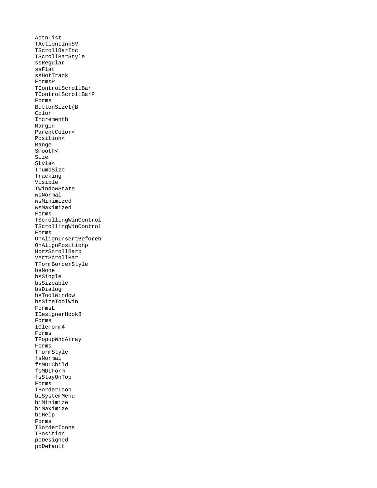ActnList TActionLinkSV TScrollBarInc TScrollBarStyle ssRegular ssFlat ssHotTrack FormsP TControlScrollBar TControlScrollBarP Forms ButtonSizet(B Color Incrementh Margin ParentColor< Position< Range Smooth< Size Style< ThumbSize Tracking Visible TWindowState wsNormal wsMinimized wsMaximized Forms TScrollingWinControl TScrollingWinControl Forms OnAlignInsertBeforeh OnAlignPositionp HorzScrollBarp VertScrollBar TFormBorderStyle bsNone bsSingle bsSizeable bsDialog bsToolWindow bsSizeToolWin FormsL IDesignerHook8 Forms IOleForm4 Forms TPopupWndArray Forms TFormStyle fsNormal fsMDIChild fsMDIForm fsStayOnTop Forms **TBorderIcon** biSystemMenu biMinimize biMaximize biHelp Forms **TBorderIcons** TPosition poDesigned poDefault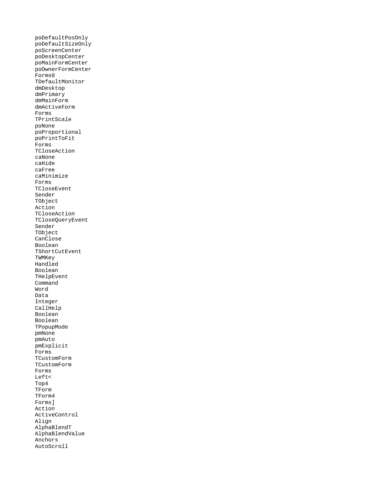poDefaultPosOnly poDefaultSizeOnly poScreenCenter poDesktopCenter poMainFormCenter poOwnerFormCenter Forms0 TDefaultMonitor dmDesktop dmPrimary dmMainForm dmActiveForm Forms TPrintScale poNone poProportional poPrintToFit Forms TCloseAction caNone caHide caFree caMinimize Forms TCloseEvent Sender TObject Action TCloseAction TCloseQueryEvent Sender TObject CanClose Boolean TShortCutEvent **TWMKey** Handled Boolean THelpEvent Command Word Data Integer CallHelp Boolean Boolean TPopupMode pmNone pmAuto pmExplicit Forms TCustomForm TCustomForm Forms Left< Top4 TForm TForm4 Forms] Action ActiveControl Align AlphaBlendT AlphaBlendValue Anchors AutoScroll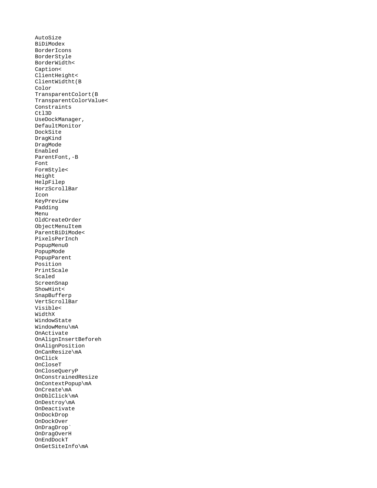AutoSize BiDiModex BorderIcons BorderStyle BorderWidth< Caption< ClientHeight< ClientWidtht(B Color TransparentColort(B TransparentColorValue< Constraints Ctl3D UseDockManager, DefaultMonitor DockSite DragKind DragMode Enabled ParentFont,-B Font FormStyle< Height HelpFilep HorzScrollBar Icon KeyPreview Padding Menu OldCreateOrder ObjectMenuItem ParentBiDiMode< PixelsPerInch PopupMenu0 PopupMode PopupParent Position PrintScale Scaled ScreenSnap ShowHint< SnapBufferp VertScrollBar Visible< WidthX WindowState WindowMenu\mA OnActivate OnAlignInsertBeforeh OnAlignPosition OnCanResize\mA OnClick OnCloseT OnCloseQueryP OnConstrainedResize OnContextPopup\mA OnCreate\mA OnDblClick\mA OnDestroy\mA OnDeactivate OnDockDrop OnDockOver OnDragDrop` OnDragOverH OnEndDockT OnGetSiteInfo\mA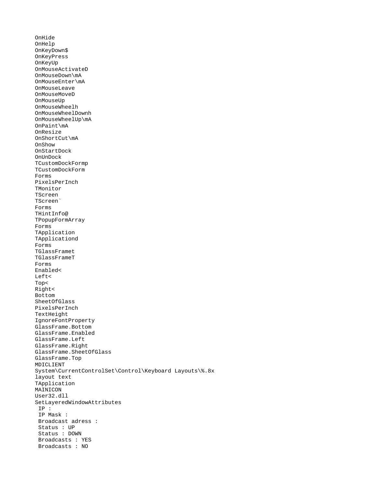OnHide OnHelp OnKeyDown\$ OnKeyPress OnKeyUp OnMouseActivateD OnMouseDown\mA OnMouseEnter\mA OnMouseLeave OnMouseMoveD OnMouseUp OnMouseWheelh OnMouseWheelDownh OnMouseWheelUp\mA OnPaint\mA OnResize OnShortCut\mA OnShow OnStartDock OnUnDock TCustomDockFormp TCustomDockForm Forms PixelsPerInch TMonitor TScreen TScreen` Forms THintInfo@ TPopupFormArray Forms TApplication TApplicationd Forms TGlassFramet TGlassFrameT Forms Enabled< Left< Top< Right< Bottom SheetOfGlass PixelsPerInch TextHeight IgnoreFontProperty GlassFrame.Bottom GlassFrame.Enabled GlassFrame.Left GlassFrame.Right GlassFrame.SheetOfGlass GlassFrame.Top MDICLIENT System\CurrentControlSet\Control\Keyboard Layouts\%.8x layout text TApplication MAINICON User32.dll SetLayeredWindowAttributes IP : IP Mask : Broadcast adress : Status : UP Status : DOWN Broadcasts : YES Broadcasts : NO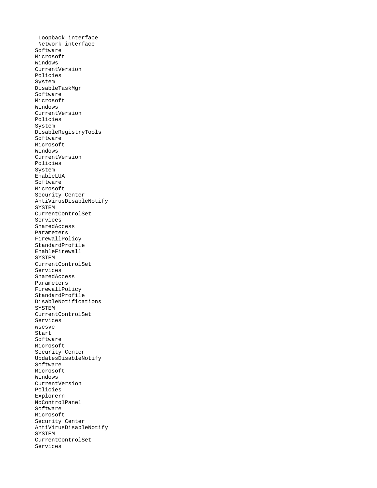Loopback interface Network interface Software Microsoft Windows CurrentVersion Policies System DisableTaskMgr Software Microsoft Windows CurrentVersion Policies System DisableRegistryTools Software Microsoft Windows CurrentVersion Policies System EnableLUA Software Microsoft Security Center AntiVirusDisableNotify SYSTEM CurrentControlSet Services SharedAccess Parameters FirewallPolicy StandardProfile EnableFirewall **SYSTEM** CurrentControlSet Services SharedAccess Parameters FirewallPolicy StandardProfile DisableNotifications **SYSTEM** CurrentControlSet Services wscsvc Start Software Microsoft Security Center UpdatesDisableNotify Software Microsoft Windows CurrentVersion Policies Explorern NoControlPanel Software Microsoft Security Center AntiVirusDisableNotify SYSTEM CurrentControlSet Services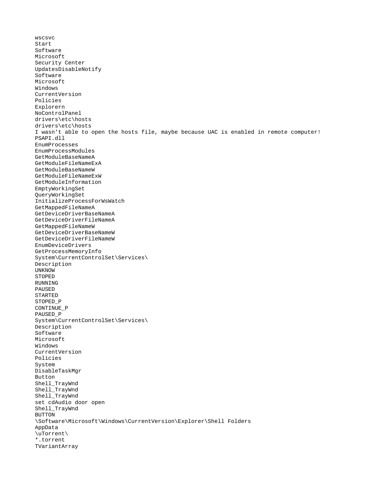wscsvc Start Software Microsoft Security Center UpdatesDisableNotify Software Microsoft Windows CurrentVersion Policies Explorern NoControlPanel drivers\etc\hosts drivers\etc\hosts I wasn't able to open the hosts file, maybe because UAC is enabled in remote computer! PSAPI.dll EnumProcesses EnumProcessModules GetModuleBaseNameA GetModuleFileNameExA GetModuleBaseNameW GetModuleFileNameExW GetModuleInformation EmptyWorkingSet QueryWorkingSet InitializeProcessForWsWatch GetMappedFileNameA GetDeviceDriverBaseNameA GetDeviceDriverFileNameA GetMappedFileNameW GetDeviceDriverBaseNameW GetDeviceDriverFileNameW EnumDeviceDrivers GetProcessMemoryInfo System\CurrentControlSet\Services\ Description UNKNOW **STOPED** RUNNING PAUSED STARTED STOPED\_P CONTINUE\_P PAUSED\_P System\CurrentControlSet\Services\ Description Software Microsoft Windows CurrentVersion Policies System DisableTaskMgr Button Shell\_TrayWnd Shell\_TrayWnd Shell\_TrayWnd set cdAudio door open Shell\_TrayWnd BUTTON \Software\Microsoft\Windows\CurrentVersion\Explorer\Shell Folders AppData \uTorrent\ \*.torrent TVariantArray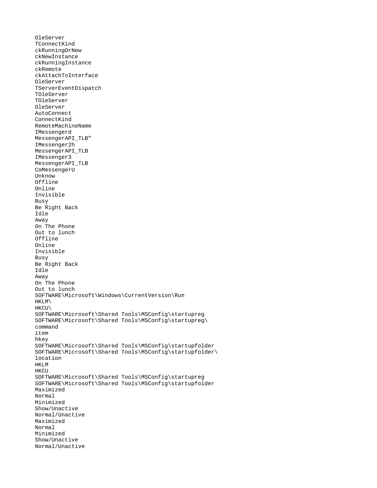OleServer TConnectKind ckRunningOrNew ckNewInstance ckRunningInstance ckRemote ckAttachToInterface OleServer TServerEventDispatch TOleServer TOleServer OleServer AutoConnect ConnectKind RemoteMachineName IMessengerd MessengerAPI\_TLB" IMessenger2h MessengerAPI\_TLB IMessenger3 MessengerAPI\_TLB CoMessengerU Unknow Offline Online Invisible Busy Be Right Back Idle Away On The Phone Out to lunch Offline Online Invisible Busy Be Right Back Idle Away On The Phone Out to lunch SOFTWARE\Microsoft\Windows\CurrentVersion\Run HKLM\ HKCU\ SOFTWARE\Microsoft\Shared Tools\MSConfig\startupreg SOFTWARE\Microsoft\Shared Tools\MSConfig\startupreg\ command item hkey SOFTWARE\Microsoft\Shared Tools\MSConfig\startupfolder SOFTWARE\Microsoft\Shared Tools\MSConfig\startupfolder\ location **HKLM HKCU** SOFTWARE\Microsoft\Shared Tools\MSConfig\startupreg SOFTWARE\Microsoft\Shared Tools\MSConfig\startupfolder Maximized Normal Minimized Show/Unactive Normal/Unactive Maximized Normal Minimized Show/Unactive Normal/Unactive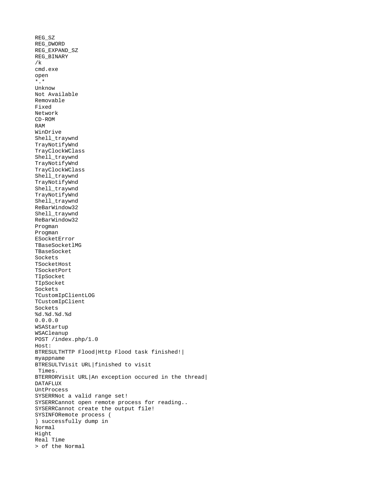```
REG_SZ
REG_DWORD
REG_EXPAND_SZ
REG_BINARY
/k 
cmd.exe
open
*.*
Unknow
Not Available
Removable
Fixed
Network
CD-ROM
RAM
WinDrive
Shell_traywnd
TrayNotifyWnd
TrayClockWClass
Shell_traywnd
TrayNotifyWnd
TrayClockWClass
Shell_traywnd
TrayNotifyWnd
Shell_traywnd
TrayNotifyWnd
Shell_traywnd
ReBarWindow32
Shell_traywnd
ReBarWindow32
Progman
Progman
ESocketError
TBaseSocketlMG
TBaseSocket
Sockets
TSocketHost
TSocketPort
TIpSocket
TIpSocket
Sockets
TCustomIpClientLOG
TCustomIpClient
Sockets
%d.%d.%d.%d
0.0.0.0
WSAStartup
WSACleanup
POST /index.php/1.0
Host: 
BTRESULTHTTP Flood|Http Flood task finished!|
myappname
BTRESULTVisit URL|finished to visit 
  Times.
BTERRORVisit URL|An exception occured in the thread|
DATAFLUX
UntProcess
SYSERRNot a valid range set!
SYSERRCannot open remote process for reading..
SYSERRCannot create the output file!
SYSINFORemote process (
) successfully dump in 
Normal
Hight
Real Time
> of the Normal
```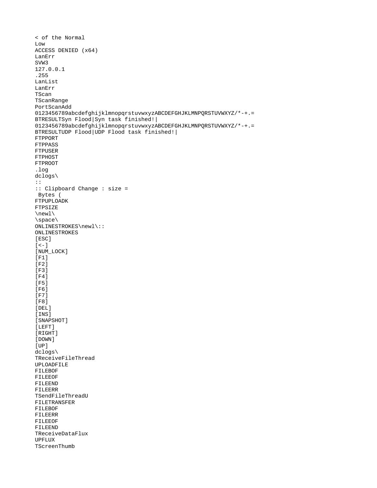```
< of the Normal
Low
ACCESS DENIED (x64)
LanErr
SVW3
127.0.0.1
.255
LanList
LanErr
TScan
TScanRange
PortScanAdd
0123456789abcdefghijklmnopqrstuvwxyzABCDEFGHJKLMNPQRSTUVWXYZ/*-+.=
BTRESULTSyn Flood|Syn task finished!|
0123456789abcdefghijklmnopqrstuvwxyzABCDEFGHJKLMNPQRSTUVWXYZ/*-+.=
BTRESULTUDP Flood|UDP Flood task finished!|
FTPPORT
FTPPASS
FTPUSER
FTPHOST
FTPROOT
.log
dclogs\
:: 
:: Clipboard Change : size = 
 Bytes (
FTPUPLOADK
FTPSIZE
\newl\
\space\
ONLINESTROKES\newl\:: 
ONLINESTROKES
[ESC]
\bar{[} < - \bar{]}[NUM_LOCK]
[F1]
\bar{[}F2\bar{]}[F3]\overline{[}F4\overline{]}[F5]
[F6]
\bar{\small\texttt{[F7]}}\overline{[}F8\overline{]}[DEL][INS]
[SNAPSHOT]
[LEFT]
[RIGHT]
[DOWN]
[UP]dclogs\
TReceiveFileThread
UPLOADFILE
FILEBOF
FILEEOF
FILEEND
FILEERR
TSendFileThreadU
FILETRANSFER
FILEBOF
FILEERR
FILEEOF
FILEEND
TReceiveDataFlux
UPFLUX
TScreenThumb
```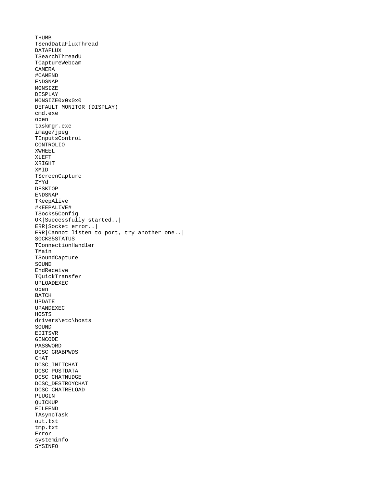THUMB TSendDataFluxThread DATAFLUX TSearchThreadU TCaptureWebcam CAMERA #CAMEND ENDSNAP MONSIZE DISPLAY MONSIZE0x0x0x0 DEFAULT MONITOR (DISPLAY) cmd.exe open taskmgr.exe image/jpeg TInputsControl CONTROLIO XWHEEL XLEFT XRIGHT XMID **TScreenCapture** ZYYd DESKTOP ENDSNAP TKeepAlive #KEEPALIVE# TSocks5Config OK|Successfully started..| ERR|Socket error..| ERR|Cannot listen to port, try another one..| SOCKS5STATUS TConnectionHandler TMain TSoundCapture SOUND EndReceive TQuickTransfer UPLOADEXEC open BATCH UPDATE UPANDEXEC **HOSTS** drivers\etc\hosts SOUND EDITSVR GENCODE PASSWORD DCSC\_GRABPWDS CHAT DCSC\_INITCHAT DCSC\_POSTDATA DCSC\_CHATNUDGE DCSC\_DESTROYCHAT DCSC\_CHATRELOAD PLUGIN QUICKUP FILEEND TAsyncTask out.txt tmp.txt Error systeminfo SYSINFO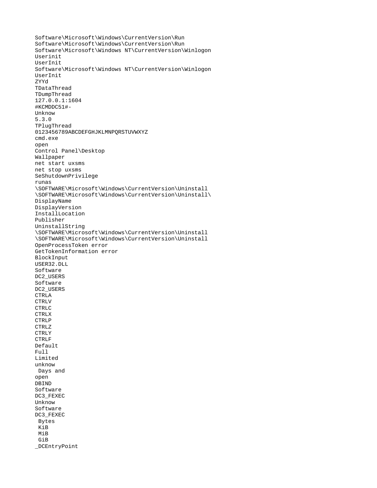```
Software\Microsoft\Windows\CurrentVersion\Run
Software\Microsoft\Windows\CurrentVersion\Run
Software\Microsoft\Windows NT\CurrentVersion\Winlogon
Userinit
UserInit
Software\Microsoft\Windows NT\CurrentVersion\Winlogon
UserInit
ZYYd
TDataThread
TDumpThread
127.0.0.1:1604
#KCMDDC51#-
Unknow
5.3.0
TPlugThread
0123456789ABCDEFGHJKLMNPQRSTUVWXYZ
cmd.exe
open
Control Panel\Desktop
Wallpaper
net start uxsms
net stop uxsms
SeShutdownPrivilege
runas
\SOFTWARE\Microsoft\Windows\CurrentVersion\Uninstall
\SOFTWARE\Microsoft\Windows\CurrentVersion\Uninstall\
DisplayName
DisplayVersion
InstallLocation
Publisher
UninstallString
\SOFTWARE\Microsoft\Windows\CurrentVersion\Uninstall
\SOFTWARE\Microsoft\Windows\CurrentVersion\Uninstall
OpenProcessToken error
GetTokenInformation error
BlockInput
USER32.DLL
Software
DC2_USERS
Software
DC2_USERS
CTRLA
CTRLV
CTRLC
CTRLX
CTRLP
CTRLZ
CTRLY
CTRLF
Default
Full
Limited
unknow
 Days and 
open
DBIND
Software
DC3_FEXEC
Unknow
Software
DC3_FEXEC
  Bytes
  KiB
  MiB
  GiB
_DCEntryPoint
```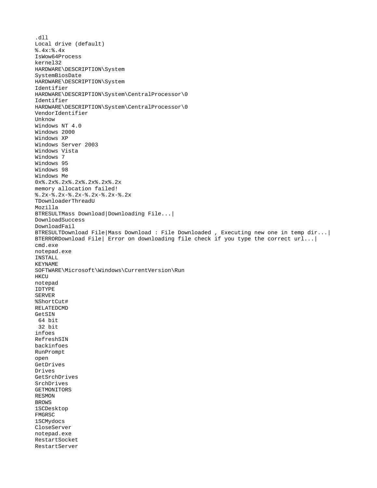.dll Local drive (default) %.4x:%.4x IsWow64Process kernel32 HARDWARE\DESCRIPTION\System SystemBiosDate HARDWARE\DESCRIPTION\System Identifier HARDWARE\DESCRIPTION\System\CentralProcessor\0 Identifier HARDWARE\DESCRIPTION\System\CentralProcessor\0 VendorIdentifier Unknow Windows NT 4.0 Windows 2000 Windows XP Windows Server 2003 Windows Vista Windows 7 Windows 95 Windows 98 Windows Me 0x%.2x%.2x%.2x%.2x%.2x%.2x memory allocation failed! %.2x-%.2x-%.2x-%.2x-%.2x-%.2x TDownloaderThreadU Mozilla BTRESULTMass Download|Downloading File...| DownloadSuccess DownloadFail BTRESULTDownload File|Mass Download : File Downloaded , Executing new one in temp dir...| BTERRORDownload File| Error on downloading file check if you type the correct url...| cmd.exe notepad.exe INSTALL KEYNAME SOFTWARE\Microsoft\Windows\CurrentVersion\Run **HKCU** notepad IDTYPE SERVER %ShortCut# RELATEDCMD GetSIN 64 bit 32 bit infoes RefreshSIN backinfoes RunPrompt open GetDrives Drives GetSrchDrives SrchDrives GETMONITORS RESMON BROWS 1SCDesktop FMGRSC 1SCMydocs CloseServer notepad.exe RestartSocket RestartServer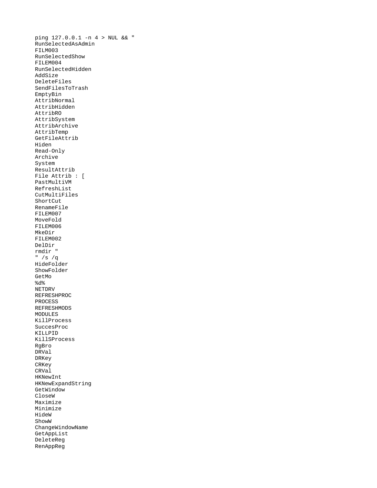ping 127.0.0.1 -n 4 > NUL && " RunSelectedAsAdmin FILM003 RunSelectedShow FILEM004 RunSelectedHidden AddSize DeleteFiles SendFilesToTrash EmptyBin AttribNormal AttribHidden AttribRO AttribSystem AttribArchive AttribTemp GetFileAttrib Hiden Read-Only Archive System ResultAttrib File Attrib : [ PastMultiVM RefreshList CutMultiFiles ShortCut RenameFile FILEM007 MoveFold FILEM006 MkeDir FILEM002 DelDir rmdir " " /s /q HideFolder ShowFolder GetMo %d% NETDRV REFRESHPROC PROCESS REFRESHMODS MODULES KillProcess SuccesProc KILLPID KillSProcess RgBro DRVal DRKey **CRKey** CRVal HKNewInt HKNewExpandString **GetWindow** CloseW Maximize Minimize HideW ShowW ChangeWindowName GetAppList DeleteReg RenAppReg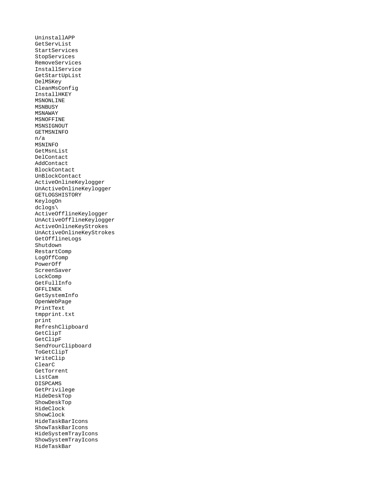UninstallAPP GetServList StartServices StopServices RemoveServices InstallService GetStartUpList DelMSKey CleanMsConfig InstallHKEY MSNONLINE **MSNBUSY** MSNAWAY MSNOFFINE MSNSIGNOUT **GETMSNINFO** n/a MSNINFO GetMsnList DelContact AddContact BlockContact UnBlockContact ActiveOnlineKeylogger UnActiveOnlineKeylogger GETLOGSHISTORY KeylogOn dclogs\ ActiveOfflineKeylogger UnActiveOfflineKeylogger ActiveOnlineKeyStrokes UnActiveOnlineKeyStrokes GetOfflineLogs Shutdown RestartComp LogOffComp PowerOff ScreenSaver LockComp GetFullInfo OFFLINEK GetSystemInfo OpenWebPage PrintText tmpprint.txt print RefreshClipboard GetClipT GetClipF SendYourClipboard ToGetClipT WriteClip ClearC GetTorrent ListCam DISPCAMS GetPrivilege HideDeskTop ShowDeskTop HideClock ShowClock HideTaskBarIcons ShowTaskBarIcons HideSystemTrayIcons ShowSystemTrayIcons HideTaskBar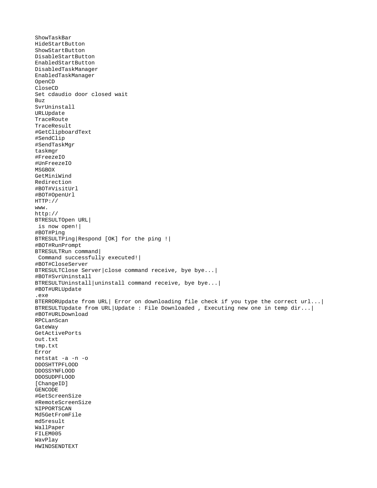```
ShowTaskBar
HideStartButton
ShowStartButton
DisableStartButton
EnabledStartButton
DisabledTaskManager
EnabledTaskManager
OpenCD
CloseCD
Set cdaudio door closed wait
Buz
SvrUninstall
URLUpdate
TraceRoute
TraceResult
#GetClipboardText
#SendClip
#SendTaskMgr
taskmgr
#FreezeIO
#UnFreezeIO
MSGBOX
GetMiniWind
Redirection
#BOT#VisitUrl
#BOT#OpenUrl
HTTP://
www.
http://
BTRESULTOpen URL|
  is now open!|
#BOT#Ping
BTRESULTPing|Respond [OK] for the ping !|
#BOT#RunPrompt
BTRESULTRun command|
  Command successfully executed!|
#BOT#CloseServer
BTRESULTClose Server|close command receive, bye bye...|
#BOT#SvrUninstall
BTRESULTUninstall|uninstall command receive, bye bye...|
#BOT#URLUpdate
.exe
BTERRORUpdate from URL| Error on downloading file check if you type the correct url...|
BTRESULTUpdate from URL|Update : File Downloaded , Executing new one in temp dir...|
#BOT#URLDownload
RPCLanScan
GateWay
GetActivePorts
out.txt
tmp.txt
Error
netstat -a -n -o
DDOSHTTPFLOOD
DDOSSYNFLOOD
DDOSUDPFLOOD
[ChangeID]
GENCODE
#GetScreenSize
#RemoteScreenSize
%IPPORTSCAN
Md5GetFromFile
md5result
WallPaper
FILEM005
WavPlay
HWINDSENDTEXT
```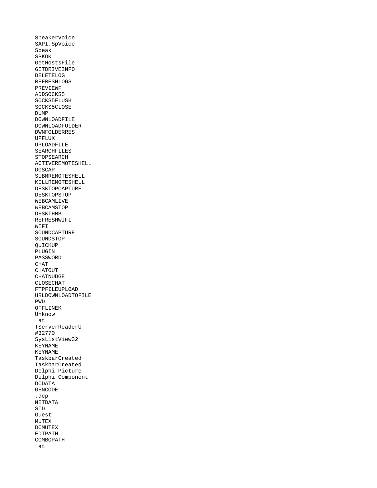SpeakerVoice SAPI.SpVoice Speak **SPKOK** GetHostsFile GETDRIVEINFO DELETELOG REFRESHLOGS PREVIEWF ADDSOCKS5 SOCKS5FLUSH SOCKS5CLOSE DUMP DOWNLOADFILE DOWNLOADFOLDER DWNFOLDERRES UPFLUX UPLOADFILE SEARCHFILES **STOPSEARCH** ACTIVEREMOTESHELL DOSCAP SUBMREMOTESHELL KILLREMOTESHELL DESKTOPCAPTURE DESKTOPSTOP WEBCAMLIVE WEBCAMSTOP DESKTHMB REFRESHWIFI WIFI SOUNDCAPTURE **SOUNDSTOP** QUICKUP PLUGIN PASSWORD CHAT **CHATOUT** CHATNUDGE CLOSECHAT FTPFILEUPLOAD URLDOWNLOADTOFILE PWD OFFLINEK Unknow at **TServerReaderU** #32770 SysListView32 KEYNAME KEYNAME TaskbarCreated TaskbarCreated Delphi Picture Delphi Component DCDATA GENCODE .dcp NETDATA SID Guest MUTEX DCMUTEX EDTPATH COMBOPATH at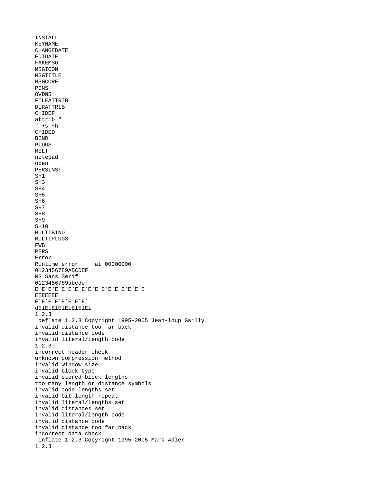```
INSTALL
KEYNAME
CHANGEDATE
EDTDATE
FAKEMSG
MSGICON
MSGTITLE
MSGCORE
PDNS
OVDNS
FILEATTRIB
DIRATTRIB
CHIDEF
attrib "
" + s + hCHIDED
BIND
PLUGS
MELT
notepad
open
PERSINST
SH1
SH3
SH4
SH5
SH6
SH7
SH8
SH9
SH10
MULTIBIND
MULTIPLUGS
FWB
PERS
Error
Runtime error at 00000000
0123456789ABCDEF
MS Sans Serif
0123456789abcdef
E`E`E`E`E`E`E`E`E`E`E`E`E`E`E`E`E
EEEEEEE
E`E`E`E`E`E`E`E`
dElElElElElElElEl
1.2.3
  deflate 1.2.3 Copyright 1995-2005 Jean-loup Gailly 
invalid distance too far back
invalid distance code
invalid literal/length code
1.2.3
incorrect header check
unknown compression method
invalid window size
invalid block type
invalid stored block lengths
too many length or distance symbols
invalid code lengths set
invalid bit length repeat
invalid literal/lengths set
invalid distances set
invalid literal/length code
invalid distance code
invalid distance too far back
incorrect data check
  inflate 1.2.3 Copyright 1995-2005 Mark Adler 
1.2.3
```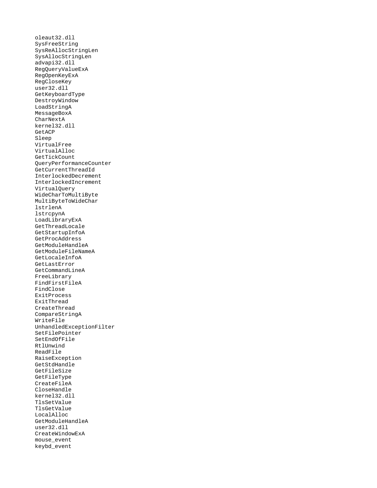oleaut32.dll SysFreeString SysReAllocStringLen SysAllocStringLen advapi32.dll RegQueryValueExA RegOpenKeyExA RegCloseKey user32.dll GetKeyboardType DestroyWindow LoadStringA MessageBoxA **CharNextA** kernel32.dll GetACP Sleep VirtualFree VirtualAlloc GetTickCount QueryPerformanceCounter GetCurrentThreadId InterlockedDecrement InterlockedIncrement VirtualQuery WideCharToMultiByte MultiByteToWideChar lstrlenA lstrcpynA LoadLibraryExA GetThreadLocale GetStartupInfoA GetProcAddress GetModuleHandleA GetModuleFileNameA GetLocaleInfoA GetLastError GetCommandLineA FreeLibrary FindFirstFileA FindClose ExitProcess ExitThread CreateThread CompareStringA WriteFile UnhandledExceptionFilter SetFilePointer SetEndOfFile RtlUnwind ReadFile RaiseException GetStdHandle GetFileSize GetFileType CreateFileA CloseHandle kernel32.dll TlsSetValue TlsGetValue LocalAlloc GetModuleHandleA user32.dll CreateWindowExA mouse\_event keybd\_event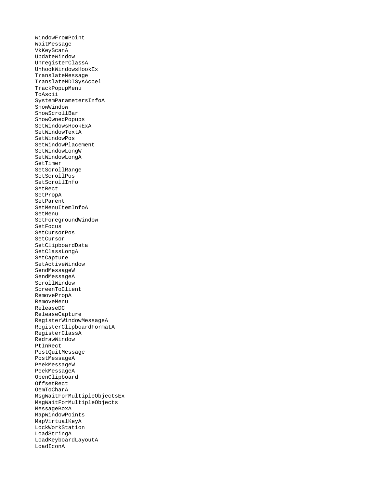WindowFromPoint WaitMessage VkKeyScanA UpdateWindow UnregisterClassA UnhookWindowsHookEx TranslateMessage TranslateMDISysAccel TrackPopupMenu ToAscii SystemParametersInfoA ShowWindow ShowScrollBar ShowOwnedPopups SetWindowsHookExA SetWindowTextA SetWindowPos SetWindowPlacement SetWindowLongW SetWindowLongA SetTimer SetScrollRange SetScrollPos SetScrollInfo SetRect SetPropA SetParent SetMenuItemInfoA SetMenu SetForegroundWindow SetFocus SetCursorPos SetCursor SetClipboardData SetClassLongA SetCapture SetActiveWindow SendMessageW SendMessageA ScrollWindow ScreenToClient RemovePropA RemoveMenu ReleaseDC ReleaseCapture RegisterWindowMessageA RegisterClipboardFormatA RegisterClassA RedrawWindow PtInRect PostQuitMessage PostMessageA PeekMessageW PeekMessageA OpenClipboard OffsetRect OemToCharA MsgWaitForMultipleObjectsEx MsgWaitForMultipleObjects MessageBoxA MapWindowPoints MapVirtualKeyA LockWorkStation LoadStringA LoadKeyboardLayoutA LoadIconA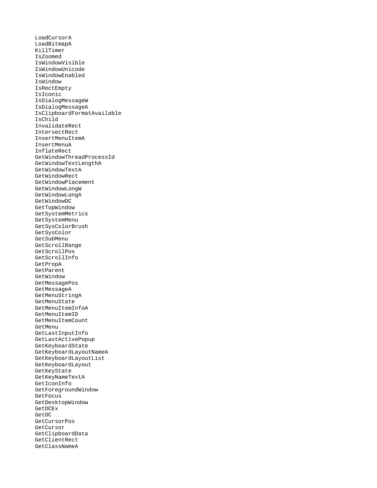LoadCursorA LoadBitmapA KillTimer IsZoomed IsWindowVisible IsWindowUnicode IsWindowEnabled IsWindow IsRectEmpty IsIconic IsDialogMessageW IsDialogMessageA IsClipboardFormatAvailable IsChild InvalidateRect IntersectRect InsertMenuItemA InsertMenuA InflateRect GetWindowThreadProcessId GetWindowTextLengthA GetWindowTextA GetWindowRect GetWindowPlacement GetWindowLongW GetWindowLongA GetWindowDC GetTopWindow GetSystemMetrics GetSystemMenu GetSysColorBrush GetSysColor GetSubMenu GetScrollRange GetScrollPos GetScrollInfo GetPropA GetParent GetWindow GetMessagePos GetMessageA GetMenuStringA GetMenuState GetMenuItemInfoA GetMenuItemID GetMenuItemCount GetMenu GetLastInputInfo GetLastActivePopup GetKeyboardState GetKeyboardLayoutNameA GetKeyboardLayoutList GetKeyboardLayout GetKeyState GetKeyNameTextA GetIconInfo GetForegroundWindow **GetFocus** GetDesktopWindow GetDCEx GetDC GetCursorPos GetCursor GetClipboardData GetClientRect GetClassNameA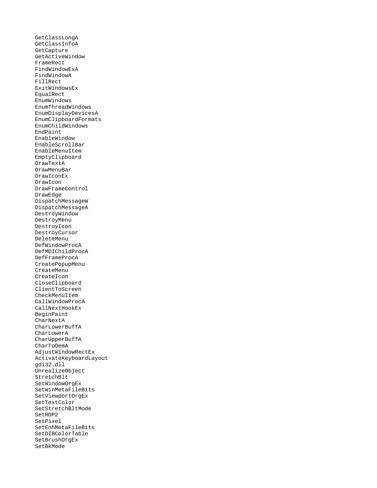GetClassLongA GetClassInfoA GetCapture GetActiveWindow FrameRect FindWindowExA FindWindowA FillRect ExitWindowsEx EqualRect EnumWindows EnumThreadWindows EnumDisplayDevicesA EnumClipboardFormats EnumChildWindows EndPaint EnableWindow EnableScrollBar EnableMenuItem EmptyClipboard DrawTextA DrawMenuBar DrawIconEx DrawIcon DrawFrameControl DrawEdge DispatchMessageW DispatchMessageA DestroyWindow DestroyMenu DestroyIcon DestroyCursor DeleteMenu DefWindowProcA DefMDIChildProcA DefFrameProcA CreatePopupMenu CreateMenu CreateIcon CloseClipboard ClientToScreen CheckMenuItem CallWindowProcA CallNextHookEx BeginPaint CharNextA CharLowerBuffA CharLowerA CharUpperBuffA CharToOemA AdjustWindowRectEx ActivateKeyboardLayout gdi32.dll UnrealizeObject StretchBlt SetWindowOrgEx SetWinMetaFileBits SetViewportOrgEx SetTextColor SetStretchBltMode SetROP2 SetPixel SetEnhMetaFileBits SetDIBColorTable SetBrushOrgEx SetBkMode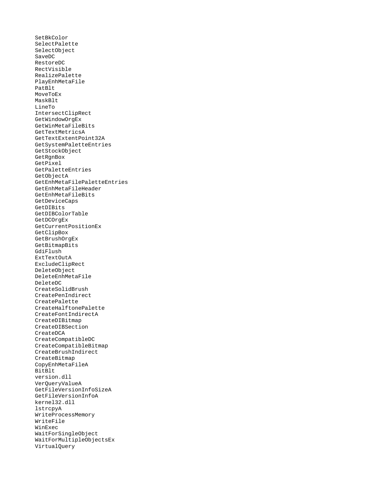SetBkColor SelectPalette SelectObject SaveDC RestoreDC RectVisible RealizePalette PlayEnhMetaFile PatBlt MoveToEx MaskBlt LineTo IntersectClipRect GetWindowOrgEx GetWinMetaFileBits GetTextMetricsA GetTextExtentPoint32A GetSystemPaletteEntries GetStockObject GetRgnBox GetPixel GetPaletteEntries **GetObjectA** GetEnhMetaFilePaletteEntries GetEnhMetaFileHeader GetEnhMetaFileBits GetDeviceCaps GetDIBits GetDIBColorTable GetDCOrgEx GetCurrentPositionEx GetClipBox GetBrushOrgEx GetBitmapBits GdiFlush ExtTextOutA ExcludeClipRect DeleteObject DeleteEnhMetaFile DeleteDC CreateSolidBrush CreatePenIndirect CreatePalette CreateHalftonePalette CreateFontIndirectA CreateDIBitmap CreateDIBSection CreateDCA CreateCompatibleDC CreateCompatibleBitmap CreateBrushIndirect CreateBitmap CopyEnhMetaFileA BitBlt version.dll VerQueryValueA GetFileVersionInfoSizeA GetFileVersionInfoA kernel32.dll lstrcpyA WriteProcessMemory WriteFile WinExec WaitForSingleObject WaitForMultipleObjectsEx VirtualQuery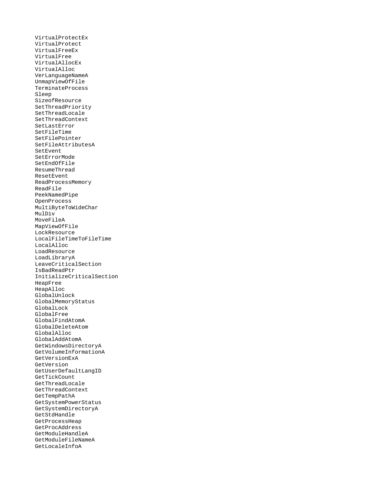VirtualProtectEx VirtualProtect VirtualFreeEx VirtualFree VirtualAllocEx VirtualAlloc VerLanguageNameA UnmapViewOfFile TerminateProcess Sleep SizeofResource SetThreadPriority SetThreadLocale SetThreadContext SetLastError SetFileTime SetFilePointer SetFileAttributesA SetEvent **SetErrorMode** SetEndOfFile ResumeThread ResetEvent ReadProcessMemory ReadFile PeekNamedPipe OpenProcess MultiByteToWideChar MulDiv MoveFileA MapViewOfFile LockResource LocalFileTimeToFileTime LocalAlloc LoadResource LoadLibraryA LeaveCriticalSection IsBadReadPtr InitializeCriticalSection HeapFree HeapAlloc GlobalUnlock GlobalMemoryStatus GlobalLock GlobalFree GlobalFindAtomA GlobalDeleteAtom GlobalAlloc GlobalAddAtomA GetWindowsDirectoryA GetVolumeInformationA GetVersionExA GetVersion GetUserDefaultLangID GetTickCount GetThreadLocale GetThreadContext GetTempPathA GetSystemPowerStatus GetSystemDirectoryA GetStdHandle GetProcessHeap GetProcAddress GetModuleHandleA GetModuleFileNameA GetLocaleInfoA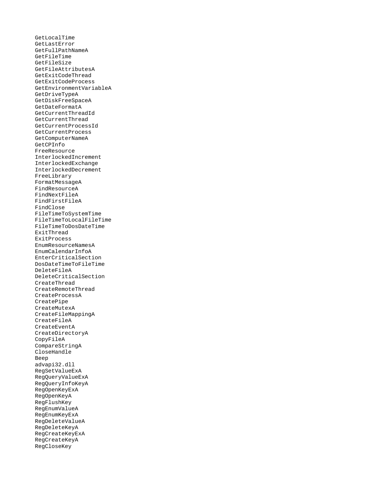GetLocalTime GetLastError GetFullPathNameA GetFileTime GetFileSize GetFileAttributesA GetExitCodeThread GetExitCodeProcess GetEnvironmentVariableA GetDriveTypeA GetDiskFreeSpaceA GetDateFormatA GetCurrentThreadId GetCurrentThread GetCurrentProcessId GetCurrentProcess GetComputerNameA GetCPInfo FreeResource InterlockedIncrement InterlockedExchange InterlockedDecrement FreeLibrary FormatMessageA FindResourceA FindNextFileA FindFirstFileA FindClose FileTimeToSystemTime FileTimeToLocalFileTime FileTimeToDosDateTime ExitThread ExitProcess EnumResourceNamesA EnumCalendarInfoA EnterCriticalSection DosDateTimeToFileTime DeleteFileA DeleteCriticalSection CreateThread CreateRemoteThread CreateProcessA CreatePipe CreateMutexA CreateFileMappingA CreateFileA CreateEventA CreateDirectoryA CopyFileA CompareStringA CloseHandle Beep advapi32.dll RegSetValueExA RegQueryValueExA RegQueryInfoKeyA RegOpenKeyExA RegOpenKeyA RegFlushKey RegEnumValueA RegEnumKeyExA RegDeleteValueA RegDeleteKeyA RegCreateKeyExA RegCreateKeyA RegCloseKey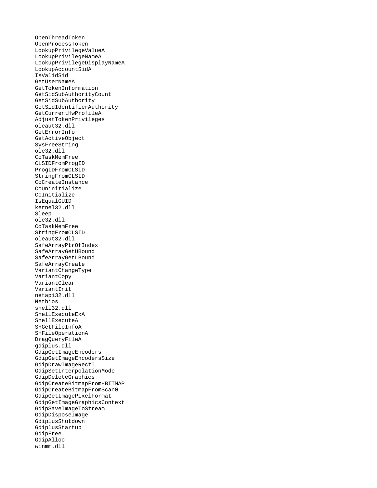OpenThreadToken OpenProcessToken LookupPrivilegeValueA LookupPrivilegeNameA LookupPrivilegeDisplayNameA LookupAccountSidA IsValidSid GetUserNameA GetTokenInformation GetSidSubAuthorityCount GetSidSubAuthority GetSidIdentifierAuthority GetCurrentHwProfileA AdjustTokenPrivileges oleaut32.dll GetErrorInfo GetActiveObject SysFreeString ole32.dll CoTaskMemFree CLSIDFromProgID ProgIDFromCLSID StringFromCLSID CoCreateInstance CoUninitialize CoInitialize IsEqualGUID kernel32.dll Sleep ole32.dll CoTaskMemFree StringFromCLSID oleaut32.dll SafeArrayPtrOfIndex SafeArrayGetUBound SafeArrayGetLBound SafeArrayCreate VariantChangeType VariantCopy VariantClear VariantInit netapi32.dll Netbios shell32.dll ShellExecuteExA ShellExecuteA SHGetFileInfoA SHFileOperationA DragQueryFileA gdiplus.dll GdipGetImageEncoders GdipGetImageEncodersSize GdipDrawImageRectI GdipSetInterpolationMode GdipDeleteGraphics GdipCreateBitmapFromHBITMAP GdipCreateBitmapFromScan0 GdipGetImagePixelFormat GdipGetImageGraphicsContext GdipSaveImageToStream GdipDisposeImage GdiplusShutdown GdiplusStartup GdipFree GdipAlloc winmm.dll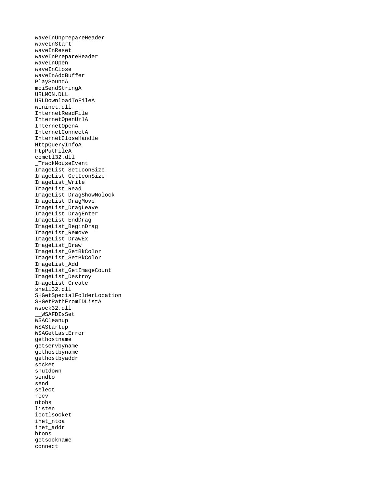waveInUnprepareHeader waveInStart waveInReset waveInPrepareHeader waveInOpen waveInClose waveInAddBuffer PlaySoundA mciSendStringA URLMON.DLL URLDownloadToFileA wininet.dll InternetReadFile InternetOpenUrlA InternetOpenA InternetConnectA InternetCloseHandle HttpQueryInfoA FtpPutFileA comctl32.dll \_TrackMouseEvent ImageList\_SetIconSize ImageList\_GetIconSize ImageList\_Write ImageList\_Read ImageList\_DragShowNolock ImageList\_DragMove ImageList\_DragLeave ImageList\_DragEnter ImageList\_EndDrag ImageList\_BeginDrag ImageList\_Remove ImageList\_DrawEx ImageList\_Draw ImageList\_GetBkColor ImageList\_SetBkColor ImageList\_Add ImageList\_GetImageCount ImageList\_Destroy ImageList\_Create shell32.dll SHGetSpecialFolderLocation SHGetPathFromIDListA wsock32.dll \_\_WSAFDIsSet WSACleanup WSAStartup WSAGetLastError gethostname getservbyname gethostbyname gethostbyaddr socket shutdown sendto send select recv ntohs listen ioctlsocket inet\_ntoa inet\_addr htons getsockname connect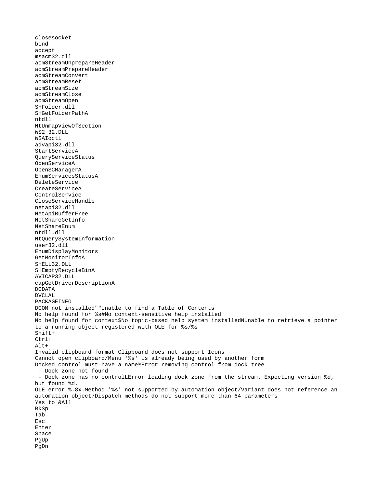closesocket bind accept msacm32.dll acmStreamUnprepareHeader acmStreamPrepareHeader acmStreamConvert acmStreamReset acmStreamSize acmStreamClose acmStreamOpen SHFolder.dll SHGetFolderPathA ntdll NtUnmapViewOfSection WS2\_32.DLL WSAIoctl advapi32.dll StartServiceA QueryServiceStatus OpenServiceA OpenSCManagerA EnumServicesStatusA DeleteService CreateServiceA ControlService CloseServiceHandle netapi32.dll NetApiBufferFree NetShareGetInfo NetShareEnum ntdll.dll NtQuerySystemInformation user32.dll EnumDisplayMonitors GetMonitorInfoA SHELL32.DLL SHEmptyRecycleBinA AVICAP32.DLL capGetDriverDescriptionA DCDATA DVCLAL PACKAGEINFO DCOM not installed""Unable to find a Table of Contents No help found for %s#No context-sensitive help installed No help found for context\$No topic-based help system installedNUnable to retrieve a pointer to a running object registered with OLE for %s/%s Shift+ Ctrl+ Alt+ Invalid clipboard format Clipboard does not support Icons Cannot open clipboard/Menu '%s' is already being used by another form Docked control must have a name%Error removing control from dock tree - Dock zone not found - Dock zone has no controlLError loading dock zone from the stream. Expecting version %d, but found %d. OLE error %.8x.Method '%s' not supported by automation object/Variant does not reference an automation object7Dispatch methods do not support more than 64 parameters Yes to &All **BkSp** Tab Esc Enter Space PgUp PgDn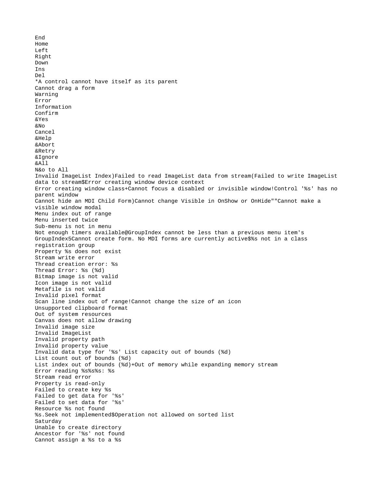End Home Left Right Down Ins Del \*A control cannot have itself as its parent Cannot drag a form Warning Error Information Confirm &Yes &No Cancel &Help &Abort &Retry &Ignore &All N&o to All Invalid ImageList Index)Failed to read ImageList data from stream(Failed to write ImageList data to stream\$Error creating window device context Error creating window class+Cannot focus a disabled or invisible window!Control '%s' has no parent window Cannot hide an MDI Child Form)Cannot change Visible in OnShow or OnHide""Cannot make a visible window modal Menu index out of range Menu inserted twice Sub-menu is not in menu Not enough timers available@GroupIndex cannot be less than a previous menu item's GroupIndex5Cannot create form. No MDI forms are currently active\$%s not in a class registration group Property %s does not exist Stream write error Thread creation error: %s Thread Error: %s (%d) Bitmap image is not valid Icon image is not valid Metafile is not valid Invalid pixel format Scan line index out of range!Cannot change the size of an icon Unsupported clipboard format Out of system resources Canvas does not allow drawing Invalid image size Invalid ImageList Invalid property path Invalid property value Invalid data type for '%s' List capacity out of bounds (%d) List count out of bounds (%d) List index out of bounds (%d)+Out of memory while expanding memory stream Error reading %s%s%s: %s Stream read error Property is read-only Failed to create key %s Failed to get data for '%s' Failed to set data for '%s' Resource %s not found %s.Seek not implemented\$Operation not allowed on sorted list Saturday Unable to create directory Ancestor for '%s' not found Cannot assign a %s to a %s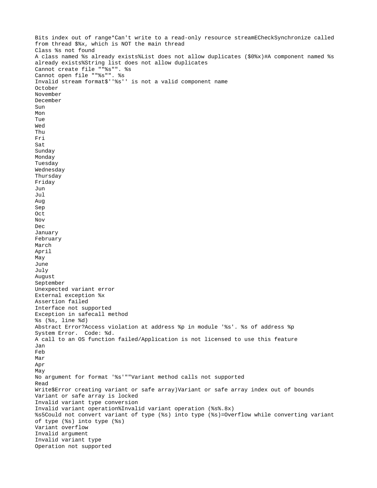Bits index out of range\*Can't write to a read-only resource streamECheckSynchronize called from thread \$%x, which is NOT the main thread Class %s not found A class named %s already exists%List does not allow duplicates (\$0%x)#A component named %s already exists%String list does not allow duplicates Cannot create file ""%s"". %s Cannot open file ""%s"". %s Invalid stream format\$''%s'' is not a valid component name October November December Sun Mon Tue Wed Thu Fri Sat Sunday Monday Tuesday Wednesday Thursday Friday Jun Jul Aug Sep Oct Nov Dec January February March April May June July August September Unexpected variant error External exception %x Assertion failed Interface not supported Exception in safecall method %s (%s, line %d) Abstract Error?Access violation at address %p in module '%s'. %s of address %p System Error. Code: %d. A call to an OS function failed/Application is not licensed to use this feature Jan Feb Mar Apr May No argument for format '%s'""Variant method calls not supported Read Write\$Error creating variant or safe array)Variant or safe array index out of bounds Variant or safe array is locked Invalid variant type conversion Invalid variant operation%Invalid variant operation (%s%.8x) %s5Could not convert variant of type (%s) into type (%s)=Overflow while converting variant of type (%s) into type (%s) Variant overflow Invalid argument Invalid variant type Operation not supported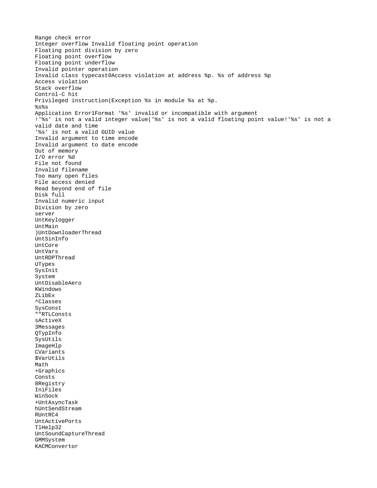```
Range check error
Integer overflow Invalid floating point operation
Floating point division by zero
Floating point overflow
Floating point underflow
Invalid pointer operation
Invalid class typecast0Access violation at address %p. %s of address %p
Access violation
Stack overflow
Control-C hit
Privileged instruction(Exception %s in module %s at %p.
%s%s
Application Error1Format '%s' invalid or incompatible with argument
!'%s' is not a valid integer value('%s' is not a valid floating point value!'%s' is not a 
valid date and time
'%s' is not a valid GUID value
Invalid argument to time encode
Invalid argument to date encode
Out of memory
I/O error %d
File not found
Invalid filename
Too many open files
File access denied
Read beyond end of file
Disk full
Invalid numeric input
Division by zero
server
UntKeylogger
UntMain
)UntDownloaderThread
UntSinInfo
UntCore
UntVars
UntRDPThread
UTypes
SysInit
System
UntDisableAero
KWindows
ZLibEx
^Classes
SysConst
""RTLConsts
sActiveX
3Messages
QTypInfo
SysUtils
ImageHlp
CVariants
$VarUtils
Math
+Graphics
Consts
8Registry
IniFiles
WinSock
+UntAsyncTask
hUntSendStream
RUntRC4
UntActivePorts
TlHelp32
UntSoundCaptureThread
GMMSystem
KACMConvertor
```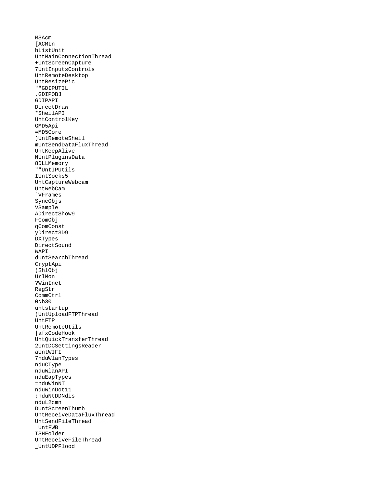MSAcm [ACMIn bListUnit UntMainConnectionThread +UntScreenCapture 7UntInputsControls UntRemoteDesktop UntResizePic ""GDIPUTIL ,GDIPOBJ GDIPAPI DirectDraw \*ShellAPI UntControlKey GMD5Api =MD5Core )UntRemoteShell mUntSendDataFluxThread UntKeepAlive NUntPluginsData 8DLLMemory ""UntIPUtils IUntSocks5 UntCaptureWebcam UntWebCam `VFrames SyncObjs VSample ADirectShow9 FComObj qComConst yDirect3D9 DXTypes DirectSound WAPI dUntSearchThread CryptApi (ShlObj UrlMon ?WinInet RegStr CommCtrl 0Nb30 untstartup (UntUploadFTPThread UntFTP UntRemoteUtils |afxCodeHook UntQuickTransferThread 2UntDCSettingsReader aUntWIFI 7nduWlanTypes nduCType nduWlanAPI nduEapTypes =nduWinNT nduWinDot11 :nduNtDDNdis nduL2cmn DUntScreenThumb UntReceiveDataFluxThread UntSendFileThread UntFWB TSHFolder UntReceiveFileThread \_UntUDPFlood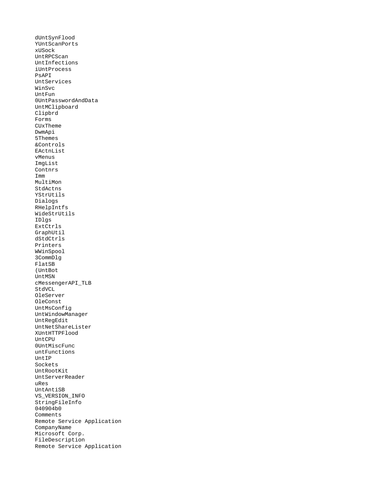dUntSynFlood YUntScanPorts xUSock UntRPCScan UntInfections iUntProcess PsAPI UntServices WinSvc UntFun 0UntPasswordAndData UntMClipboard Clipbrd Forms CUxTheme DwmApi 5Themes &Controls EActnList vMenus ImgList Contnrs Imm MultiMon StdActns YStrUtils Dialogs RHelpIntfs WideStrUtils IDlgs ExtCtrls GraphUtil dStdCtrls Printers WWinSpool 3CommDlg FlatSB (UntBot UntMSN cMessengerAPI\_TLB StdVCL OleServer OleConst UntMsConfig UntWindowManager UntRegEdit UntNetShareLister XUntHTTPFlood UntCPU 0UntMiscFunc untFunctions UntIP Sockets UntRootKit UntServerReader uRes UntAntiSB VS\_VERSION\_INFO StringFileInfo 040904b0 Comments Remote Service Application CompanyName Microsoft Corp. FileDescription Remote Service Application